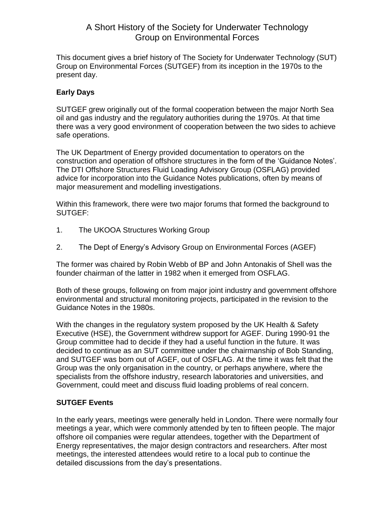# A Short History of the Society for Underwater Technology Group on Environmental Forces

This document gives a brief history of The Society for Underwater Technology (SUT) Group on Environmental Forces (SUTGEF) from its inception in the 1970s to the present day.

### **Early Days**

SUTGEF grew originally out of the formal cooperation between the major North Sea oil and gas industry and the regulatory authorities during the 1970s. At that time there was a very good environment of cooperation between the two sides to achieve safe operations.

The UK Department of Energy provided documentation to operators on the construction and operation of offshore structures in the form of the 'Guidance Notes'. The DTI Offshore Structures Fluid Loading Advisory Group (OSFLAG) provided advice for incorporation into the Guidance Notes publications, often by means of major measurement and modelling investigations.

Within this framework, there were two major forums that formed the background to SUTGEF:

- 1. The UKOOA Structures Working Group
- 2. The Dept of Energy's Advisory Group on Environmental Forces (AGEF)

The former was chaired by Robin Webb of BP and John Antonakis of Shell was the founder chairman of the latter in 1982 when it emerged from OSFLAG.

Both of these groups, following on from major joint industry and government offshore environmental and structural monitoring projects, participated in the revision to the Guidance Notes in the 1980s.

With the changes in the regulatory system proposed by the UK Health & Safety Executive (HSE), the Government withdrew support for AGEF. During 1990-91 the Group committee had to decide if they had a useful function in the future. It was decided to continue as an SUT committee under the chairmanship of Bob Standing, and SUTGEF was born out of AGEF, out of OSFLAG. At the time it was felt that the Group was the only organisation in the country, or perhaps anywhere, where the specialists from the offshore industry, research laboratories and universities, and Government, could meet and discuss fluid loading problems of real concern.

### **SUTGEF Events**

In the early years, meetings were generally held in London. There were normally four meetings a year, which were commonly attended by ten to fifteen people. The major offshore oil companies were regular attendees, together with the Department of Energy representatives, the major design contractors and researchers. After most meetings, the interested attendees would retire to a local pub to continue the detailed discussions from the day's presentations.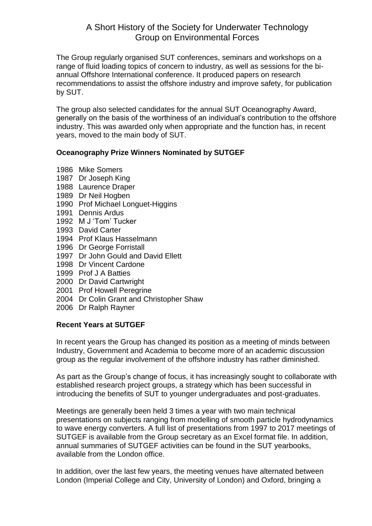## A Short History of the Society for Underwater Technology Group on Environmental Forces

The Group regularly organised SUT conferences, seminars and workshops on a range of fluid loading topics of concern to industry, as well as sessions for the biannual Offshore International conference. It produced papers on research recommendations to assist the offshore industry and improve safety, for publication by SUT.

The group also selected candidates for the annual SUT Oceanography Award, generally on the basis of the worthiness of an individual's contribution to the offshore industry. This was awarded only when appropriate and the function has, in recent years, moved to the main body of SUT.

### **Oceanography Prize Winners Nominated by SUTGEF**

- 1986 Mike Somers
- 1987 Dr Joseph King
- 1988 Laurence Draper
- 1989 Dr Neil Hogben
- 1990 Prof Michael Longuet-Higgins
- 1991 Dennis Ardus
- 1992 M J 'Tom' Tucker
- 1993 David Carter
- 1994 Prof Klaus Hasselmann
- 1996 Dr George Forristall
- 1997 Dr John Gould and David Ellett
- 1998 Dr Vincent Cardone
- 1999 Prof J A Batties
- 2000 Dr David Cartwright
- 2001 Prof Howell Peregrine
- 2004 Dr Colin Grant and Christopher Shaw
- 2006 Dr Ralph Rayner

#### **Recent Years at SUTGEF**

In recent years the Group has changed its position as a meeting of minds between Industry, Government and Academia to become more of an academic discussion group as the regular involvement of the offshore industry has rather diminished.

As part as the Group's change of focus, it has increasingly sought to collaborate with established research project groups, a strategy which has been successful in introducing the benefits of SUT to younger undergraduates and post-graduates.

Meetings are generally been held 3 times a year with two main technical presentations on subjects ranging from modelling of smooth particle hydrodynamics to wave energy converters. A full list of presentations from 1997 to 2017 meetings of SUTGEF is available from the Group secretary as an Excel format file. In addition, annual summaries of SUTGEF activities can be found in the SUT yearbooks, available from the London office.

In addition, over the last few years, the meeting venues have alternated between London (Imperial College and City, University of London) and Oxford, bringing a